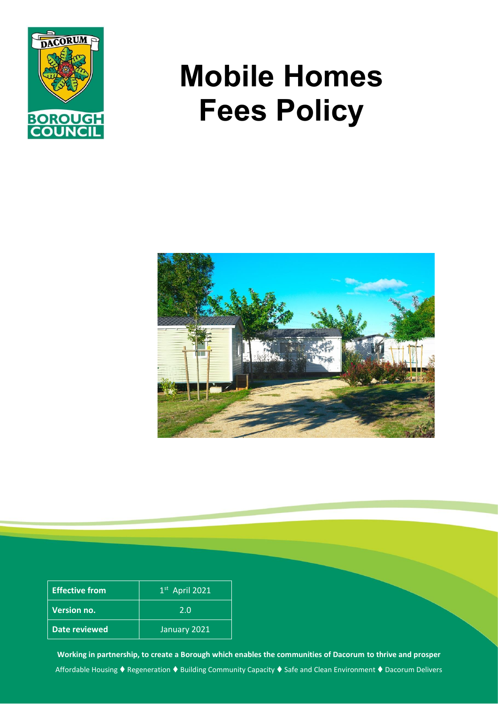

# **Mobile Homes Fees Policy**



| <b>Effective from</b> | $1st$ April 2021 |
|-----------------------|------------------|
| <b>Version no.</b>    | 2.0              |
| Date reviewed         | January 2021     |

**Working in partnership, to create a Borough which enables the communities of Dacorum to thrive and prosper** Affordable Housing ♦ Regeneration ♦ Building Community Capacity ♦ Safe and Clean Environment ♦ Dacorum Delivers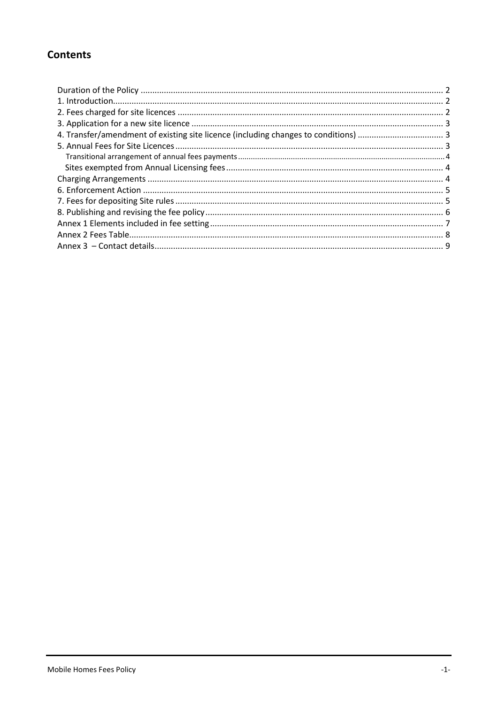## **Contents**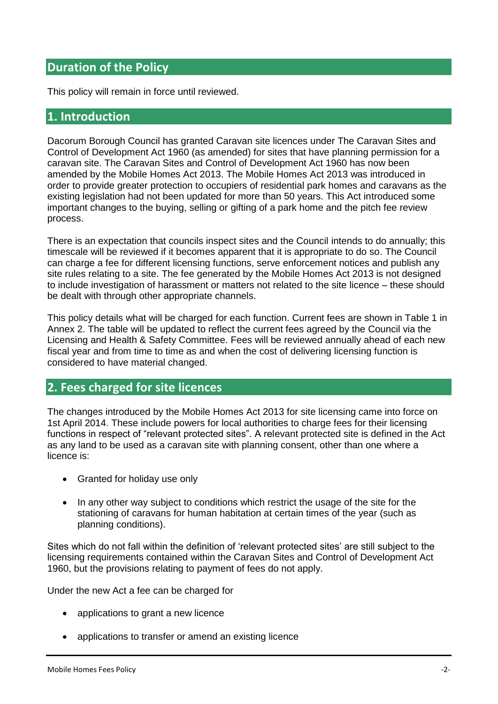# <span id="page-2-0"></span>**Duration of the Policy**

This policy will remain in force until reviewed.

### <span id="page-2-1"></span>**1. Introduction**

Dacorum Borough Council has granted Caravan site licences under The Caravan Sites and Control of Development Act 1960 (as amended) for sites that have planning permission for a caravan site. The Caravan Sites and Control of Development Act 1960 has now been amended by the Mobile Homes Act 2013. The Mobile Homes Act 2013 was introduced in order to provide greater protection to occupiers of residential park homes and caravans as the existing legislation had not been updated for more than 50 years. This Act introduced some important changes to the buying, selling or gifting of a park home and the pitch fee review process.

There is an expectation that councils inspect sites and the Council intends to do annually; this timescale will be reviewed if it becomes apparent that it is appropriate to do so. The Council can charge a fee for different licensing functions, serve enforcement notices and publish any site rules relating to a site. The fee generated by the Mobile Homes Act 2013 is not designed to include investigation of harassment or matters not related to the site licence – these should be dealt with through other appropriate channels.

This policy details what will be charged for each function. Current fees are shown in Table 1 in Annex 2. The table will be updated to reflect the current fees agreed by the Council via the Licensing and Health & Safety Committee. Fees will be reviewed annually ahead of each new fiscal year and from time to time as and when the cost of delivering licensing function is considered to have material changed.

## <span id="page-2-2"></span>**2. Fees charged for site licences**

The changes introduced by the Mobile Homes Act 2013 for site licensing came into force on 1st April 2014. These include powers for local authorities to charge fees for their licensing functions in respect of "relevant protected sites". A relevant protected site is defined in the Act as any land to be used as a caravan site with planning consent, other than one where a licence is:

- Granted for holiday use only
- In any other way subject to conditions which restrict the usage of the site for the stationing of caravans for human habitation at certain times of the year (such as planning conditions).

Sites which do not fall within the definition of 'relevant protected sites' are still subject to the licensing requirements contained within the Caravan Sites and Control of Development Act 1960, but the provisions relating to payment of fees do not apply.

Under the new Act a fee can be charged for

- applications to grant a new licence
- applications to transfer or amend an existing licence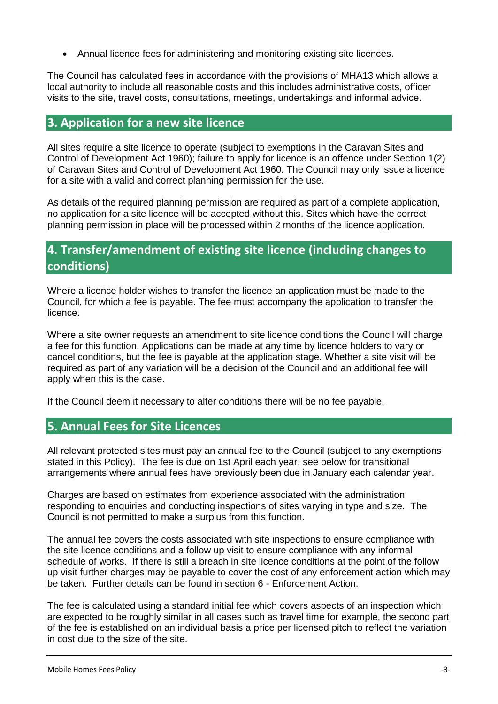Annual licence fees for administering and monitoring existing site licences.

The Council has calculated fees in accordance with the provisions of MHA13 which allows a local authority to include all reasonable costs and this includes administrative costs, officer visits to the site, travel costs, consultations, meetings, undertakings and informal advice.

## <span id="page-3-0"></span>**3. Application for a new site licence**

All sites require a site licence to operate (subject to exemptions in the Caravan Sites and Control of Development Act 1960); failure to apply for licence is an offence under Section 1(2) of Caravan Sites and Control of Development Act 1960. The Council may only issue a licence for a site with a valid and correct planning permission for the use.

As details of the required planning permission are required as part of a complete application, no application for a site licence will be accepted without this. Sites which have the correct planning permission in place will be processed within 2 months of the licence application.

# <span id="page-3-1"></span>**4. Transfer/amendment of existing site licence (including changes to conditions)**

Where a licence holder wishes to transfer the licence an application must be made to the Council, for which a fee is payable. The fee must accompany the application to transfer the licence.

Where a site owner requests an amendment to site licence conditions the Council will charge a fee for this function. Applications can be made at any time by licence holders to vary or cancel conditions, but the fee is payable at the application stage. Whether a site visit will be required as part of any variation will be a decision of the Council and an additional fee will apply when this is the case.

If the Council deem it necessary to alter conditions there will be no fee payable.

# <span id="page-3-2"></span>**5. Annual Fees for Site Licences**

All relevant protected sites must pay an annual fee to the Council (subject to any exemptions stated in this Policy). The fee is due on 1st April each year, see below for transitional arrangements where annual fees have previously been due in January each calendar year.

Charges are based on estimates from experience associated with the administration responding to enquiries and conducting inspections of sites varying in type and size. The Council is not permitted to make a surplus from this function.

The annual fee covers the costs associated with site inspections to ensure compliance with the site licence conditions and a follow up visit to ensure compliance with any informal schedule of works. If there is still a breach in site licence conditions at the point of the follow up visit further charges may be payable to cover the cost of any enforcement action which may be taken. Further details can be found in section 6 - Enforcement Action.

The fee is calculated using a standard initial fee which covers aspects of an inspection which are expected to be roughly similar in all cases such as travel time for example, the second part of the fee is established on an individual basis a price per licensed pitch to reflect the variation in cost due to the size of the site.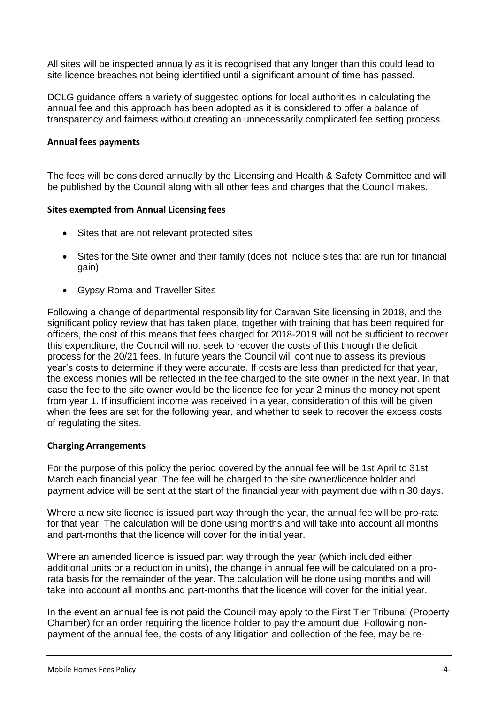All sites will be inspected annually as it is recognised that any longer than this could lead to site licence breaches not being identified until a significant amount of time has passed.

DCLG guidance offers a variety of suggested options for local authorities in calculating the annual fee and this approach has been adopted as it is considered to offer a balance of transparency and fairness without creating an unnecessarily complicated fee setting process.

#### <span id="page-4-0"></span>**Annual fees payments**

The fees will be considered annually by the Licensing and Health & Safety Committee and will be published by the Council along with all other fees and charges that the Council makes.

#### <span id="page-4-1"></span>**Sites exempted from Annual Licensing fees**

- Sites that are not relevant protected sites
- Sites for the Site owner and their family (does not include sites that are run for financial gain)
- Gypsy Roma and Traveller Sites

Following a change of departmental responsibility for Caravan Site licensing in 2018, and the significant policy review that has taken place, together with training that has been required for officers, the cost of this means that fees charged for 2018-2019 will not be sufficient to recover this expenditure, the Council will not seek to recover the costs of this through the deficit process for the 20/21 fees. In future years the Council will continue to assess its previous year's costs to determine if they were accurate. If costs are less than predicted for that year, the excess monies will be reflected in the fee charged to the site owner in the next year. In that case the fee to the site owner would be the licence fee for year 2 minus the money not spent from year 1. If insufficient income was received in a year, consideration of this will be given when the fees are set for the following year, and whether to seek to recover the excess costs of regulating the sites.

#### <span id="page-4-2"></span>**Charging Arrangements**

For the purpose of this policy the period covered by the annual fee will be 1st April to 31st March each financial year. The fee will be charged to the site owner/licence holder and payment advice will be sent at the start of the financial year with payment due within 30 days.

Where a new site licence is issued part way through the year, the annual fee will be pro-rata for that year. The calculation will be done using months and will take into account all months and part-months that the licence will cover for the initial year.

Where an amended licence is issued part way through the year (which included either additional units or a reduction in units), the change in annual fee will be calculated on a prorata basis for the remainder of the year. The calculation will be done using months and will take into account all months and part-months that the licence will cover for the initial year.

In the event an annual fee is not paid the Council may apply to the First Tier Tribunal (Property Chamber) for an order requiring the licence holder to pay the amount due. Following nonpayment of the annual fee, the costs of any litigation and collection of the fee, may be re-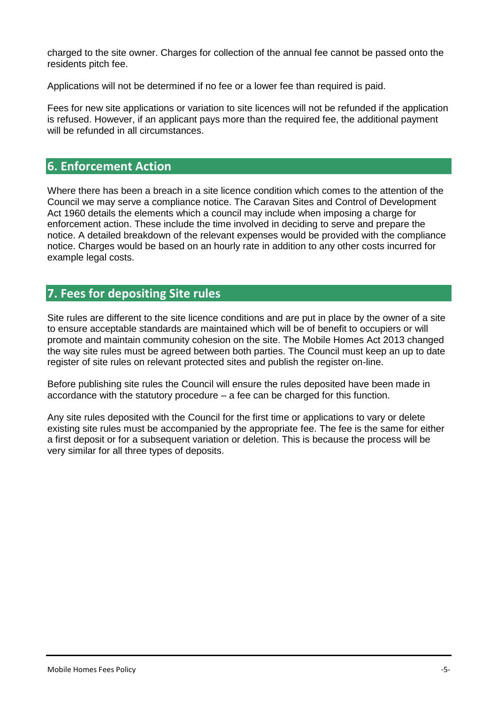charged to the site owner. Charges for collection of the annual fee cannot be passed onto the residents pitch fee.

Applications will not be determined if no fee or a lower fee than required is paid.

Fees for new site applications or variation to site licences will not be refunded if the application is refused. However, if an applicant pays more than the required fee, the additional payment will be refunded in all circumstances.

## <span id="page-5-0"></span>**6. Enforcement Action**

Where there has been a breach in a site licence condition which comes to the attention of the Council we may serve a compliance notice. The Caravan Sites and Control of Development Act 1960 details the elements which a council may include when imposing a charge for enforcement action. These include the time involved in deciding to serve and prepare the notice. A detailed breakdown of the relevant expenses would be provided with the compliance notice. Charges would be based on an hourly rate in addition to any other costs incurred for example legal costs.

# <span id="page-5-1"></span>**7. Fees for depositing Site rules**

Site rules are different to the site licence conditions and are put in place by the owner of a site to ensure acceptable standards are maintained which will be of benefit to occupiers or will promote and maintain community cohesion on the site. The Mobile Homes Act 2013 changed the way site rules must be agreed between both parties. The Council must keep an up to date register of site rules on relevant protected sites and publish the register on-line.

Before publishing site rules the Council will ensure the rules deposited have been made in accordance with the statutory procedure – a fee can be charged for this function.

Any site rules deposited with the Council for the first time or applications to vary or delete existing site rules must be accompanied by the appropriate fee. The fee is the same for either a first deposit or for a subsequent variation or deletion. This is because the process will be very similar for all three types of deposits.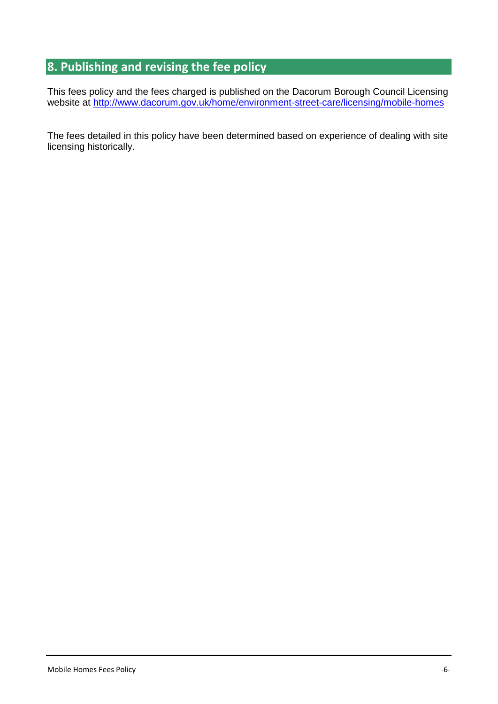# <span id="page-6-0"></span>**8. Publishing and revising the fee policy**

This fees policy and the fees charged is published on the Dacorum Borough Council Licensing website at<http://www.dacorum.gov.uk/home/environment-street-care/licensing/mobile-homes>

The fees detailed in this policy have been determined based on experience of dealing with site licensing historically.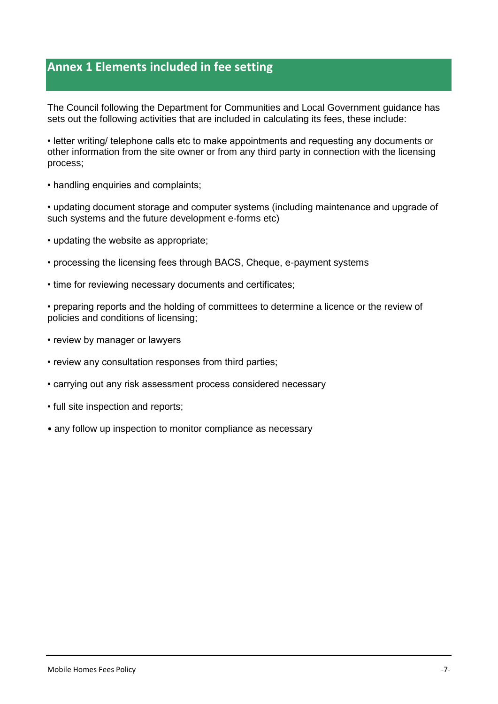# <span id="page-7-0"></span>**Annex 1 Elements included in fee setting**

The Council following the Department for Communities and Local Government guidance has sets out the following activities that are included in calculating its fees, these include:

• letter writing/ telephone calls etc to make appointments and requesting any documents or other information from the site owner or from any third party in connection with the licensing process;

• handling enquiries and complaints;

• updating document storage and computer systems (including maintenance and upgrade of such systems and the future development e-forms etc)

- updating the website as appropriate;
- processing the licensing fees through BACS, Cheque, e-payment systems
- time for reviewing necessary documents and certificates;

• preparing reports and the holding of committees to determine a licence or the review of policies and conditions of licensing;

- review by manager or lawyers
- review any consultation responses from third parties;
- carrying out any risk assessment process considered necessary
- full site inspection and reports;
- any follow up inspection to monitor compliance as necessary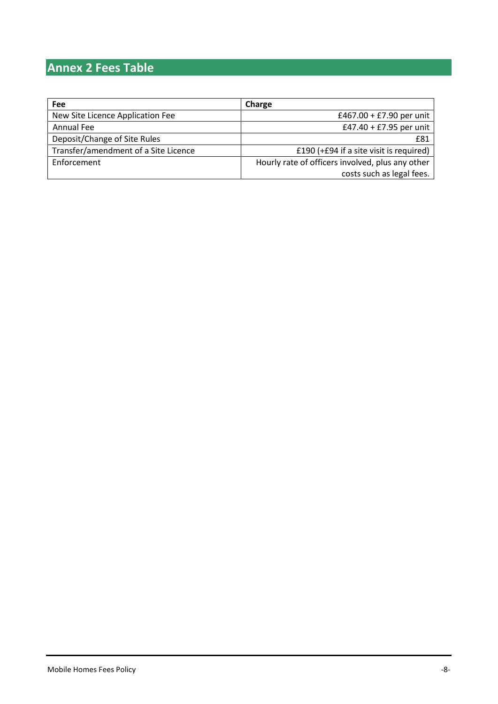# <span id="page-8-0"></span>**Annex 2 Fees Table**

| Fee                                  | Charge                                           |
|--------------------------------------|--------------------------------------------------|
| New Site Licence Application Fee     | £467.00 + £7.90 per unit                         |
| Annual Fee                           | £47.40 + £7.95 per unit                          |
| Deposit/Change of Site Rules         | £81                                              |
| Transfer/amendment of a Site Licence | £190 (+£94 if a site visit is required)          |
| Enforcement                          | Hourly rate of officers involved, plus any other |
|                                      | costs such as legal fees.                        |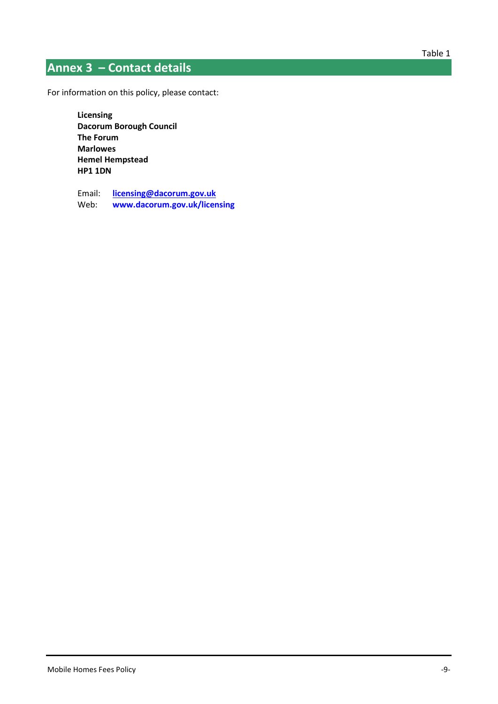# <span id="page-9-0"></span>**Annex 3 – Contact details**

For information on this policy, please contact:

**Licensing Dacorum Borough Council The Forum Marlowes Hemel Hempstead HP1 1DN**

Email: **[licensing@dacorum.gov.uk](mailto:licensing@dacorum.gov.uk)** Web: **[www.dacorum.gov.uk/licensing](http://www.dacorum.gov.uk/licensing)**